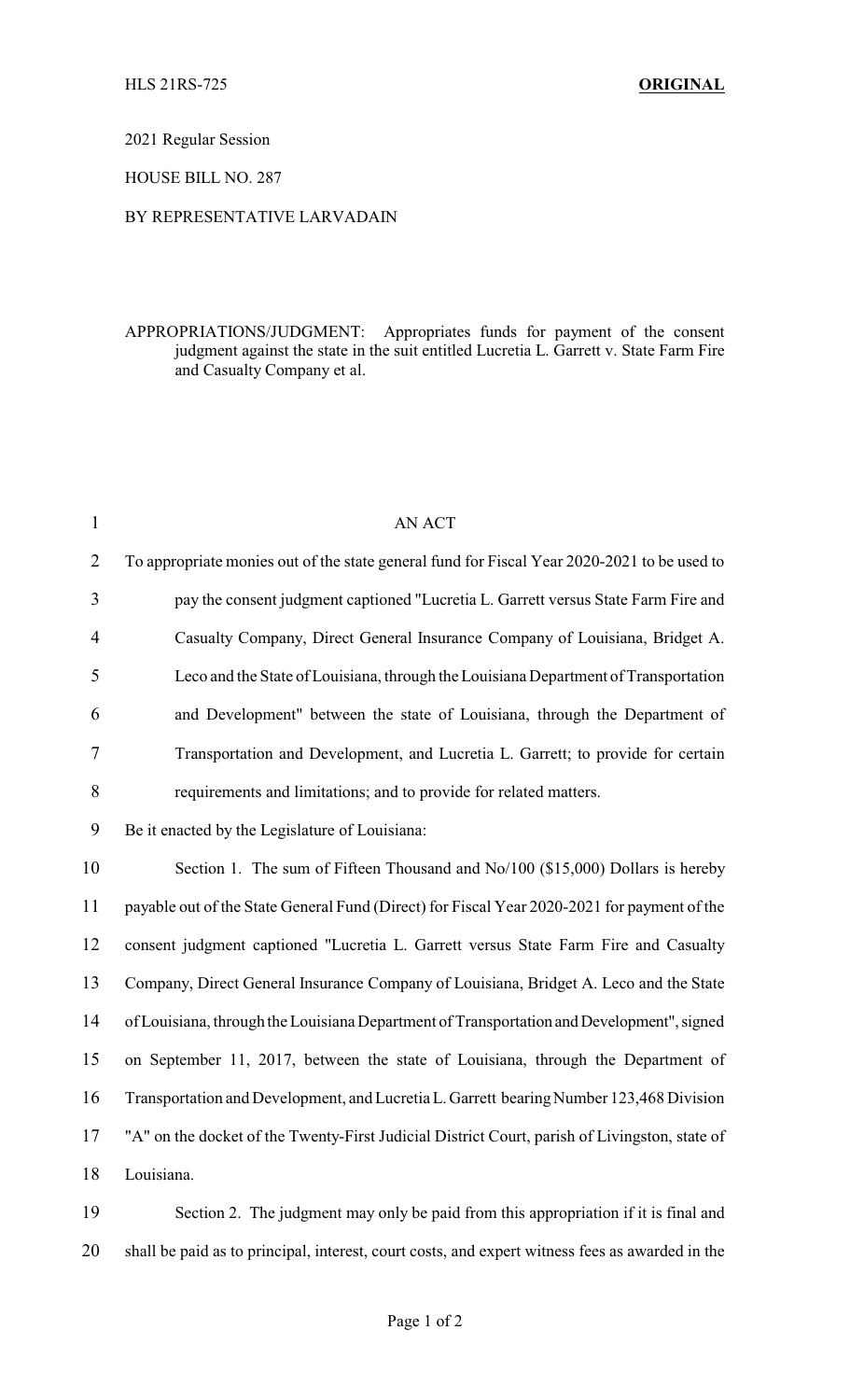2021 Regular Session

HOUSE BILL NO. 287

## BY REPRESENTATIVE LARVADAIN

## APPROPRIATIONS/JUDGMENT: Appropriates funds for payment of the consent judgment against the state in the suit entitled Lucretia L. Garrett v. State Farm Fire and Casualty Company et al.

| $\mathbf{1}$   | <b>AN ACT</b>                                                                                 |
|----------------|-----------------------------------------------------------------------------------------------|
| $\overline{2}$ | To appropriate monies out of the state general fund for Fiscal Year 2020-2021 to be used to   |
| 3              | pay the consent judgment captioned "Lucretia L. Garrett versus State Farm Fire and            |
| $\overline{4}$ | Casualty Company, Direct General Insurance Company of Louisiana, Bridget A.                   |
| 5              | Leco and the State of Louisiana, through the Louisiana Department of Transportation           |
| 6              | and Development" between the state of Louisiana, through the Department of                    |
| 7              | Transportation and Development, and Lucretia L. Garrett; to provide for certain               |
| 8              | requirements and limitations; and to provide for related matters.                             |
| 9              | Be it enacted by the Legislature of Louisiana:                                                |
| 10             | Section 1. The sum of Fifteen Thousand and No/100 (\$15,000) Dollars is hereby                |
| 11             | payable out of the State General Fund (Direct) for Fiscal Year 2020-2021 for payment of the   |
| 12             | consent judgment captioned "Lucretia L. Garrett versus State Farm Fire and Casualty           |
| 13             | Company, Direct General Insurance Company of Louisiana, Bridget A. Leco and the State         |
| 14             | of Louisiana, through the Louisiana Department of Transportation and Development", signed     |
| 15             | on September 11, 2017, between the state of Louisiana, through the Department of              |
| 16             | Transportation and Development, and Lucretia L. Garrett bearing Number 123,468 Division       |
| 17             | "A" on the docket of the Twenty-First Judicial District Court, parish of Livingston, state of |
| 18             | Louisiana.                                                                                    |
| 19             | Section 2. The judgment may only be paid from this appropriation if it is final and           |

20 shall be paid as to principal, interest, court costs, and expert witness fees as awarded in the